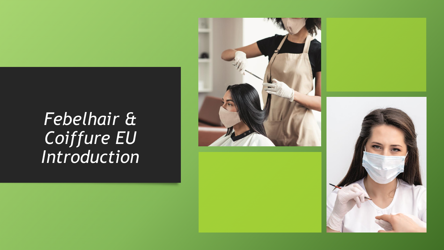# Febelhair & Coiffure EU<br>Introduction



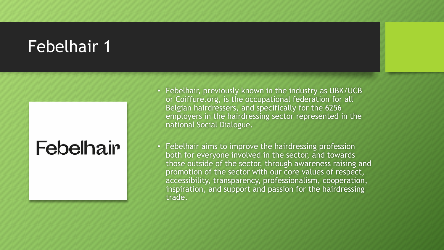#### Febelhair 1

## **Febelhair**

- Febelhair, previously known in the industry as UBK/UCB or Coiffure.org, is the occupational federation for all Belgian hairdressers, and specifically for the 6256 employers in the hairdressing sector represented in the national Social Dialogue.
- Febelhair aims to improve the hairdressing profession both for everyone involved in the sector, and towards those outside of the sector, through awareness raising and promotion of the sector with our core values of respect, accessibility, transparency, professionalism, cooperation, inspiration, and support and passion for the hairdressing trade.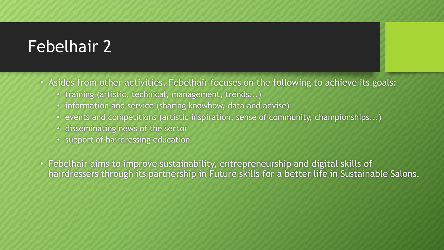#### Febelhair 2

- Asides from other activities, Febelhair focuses on the following to achieve its goals:
	- training (artistic, technical, management, trends...)
	- information and service (sharing knowhow, data and advise)
	- events and competitions (artistic inspiration, sense of community, championships...)
	- disseminating news of the sector
	- support of hairdressing education
- Febelhair aims to improve sustainability, entrepreneurship and digital skills of hairdressers through its partnership in Future skills for a better life in Sustainable Salons.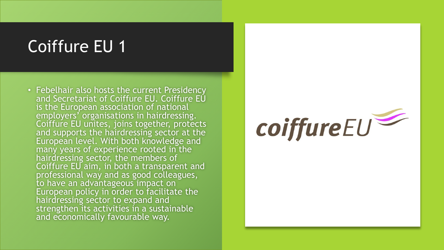#### Coiffure EU 1

• Febelhair also hosts the current Presidency and Secretariat of Coiffure EU. Coiffure EU is the European association of national employers' organisations in hairdressing. Coiffure EU unites, joins together, protects and supports the hairdressing sector at the European level. With both knowledge and many years of experience rooted in the hairdressing sector, the members of Coiffure EU aim, in both a transparent and professional way and as good colleagues, to have an advantageous impact on European policy in order to facilitate the hairdressing sector to expand and strengthen its activities in a sustainable and economically favourable way.

# coiffureEU